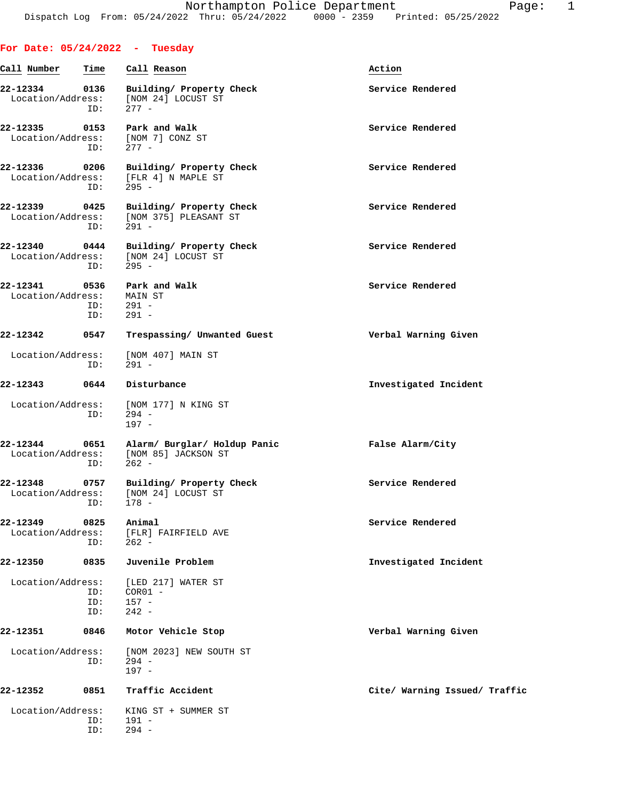|                               |                    | For Date: $05/24/2022 - Tuesday$                                                      |                               |
|-------------------------------|--------------------|---------------------------------------------------------------------------------------|-------------------------------|
| Call Number                   | Time               | Call Reason                                                                           | Action                        |
| 22-12334<br>Location/Address: | 0136<br>ID:        | Building/ Property Check<br>[NOM 24] LOCUST ST<br>$277 -$                             | Service Rendered              |
| 22-12335<br>Location/Address: | 0153<br>ID:        | Park and Walk<br>[NOM 7] CONZ ST<br>277 -                                             | Service Rendered              |
| 22-12336<br>Location/Address: | 0206<br>ID:        | Building/ Property Check<br>[FLR 4] N MAPLE ST<br>$295 -$                             | Service Rendered              |
| 22-12339<br>Location/Address: | 0425<br>ID:        | Building/ Property Check<br>[NOM 375] PLEASANT ST<br>$291 -$                          | Service Rendered              |
| 22-12340<br>Location/Address: | ID:                | 0444 Building/ Property Check<br>[NOM 24] LOCUST ST<br>$295 -$                        | Service Rendered              |
| 22-12341<br>Location/Address: | 0536<br>ID:<br>ID: | Park and Walk<br>MAIN ST<br>$291 -$<br>$291 -$                                        | Service Rendered              |
| 22-12342                      | 0547               | Trespassing/ Unwanted Guest                                                           | Verbal Warning Given          |
| Location/Address:             | ID:                | [NOM 407] MAIN ST<br>$291 -$                                                          |                               |
| 22-12343                      | 0644               | Disturbance                                                                           | Investigated Incident         |
| Location/Address:             | ID:                | [NOM 177] N KING ST<br>$294 -$<br>$197 -$                                             |                               |
| 22-12344                      | ID:                | 0651 Alarm/ Burglar/ Holdup Panic<br>Location/Address: [NOM 85] JACKSON ST<br>$262 -$ | False Alarm/City              |
| 22-12348                      | 0757<br>ID:        | Building/ Property Check<br>Location/Address: [NOM 24] LOCUST ST<br>$178 -$           | Service Rendered              |
| 22-12349<br>Location/Address: | 0825<br>ID:        | Animal<br>[FLR] FAIRFIELD AVE<br>$262 -$                                              | Service Rendered              |
| 22-12350                      | 0835               | Juvenile Problem                                                                      | Investigated Incident         |
| Location/Address:             | ID:<br>ID:<br>ID:  | [LED 217] WATER ST<br>$COR01 -$<br>$157 -$<br>$242 -$                                 |                               |
| 22-12351                      | 0846               | Motor Vehicle Stop                                                                    | Verbal Warning Given          |
| Location/Address:             | ID:                | [NOM 2023] NEW SOUTH ST<br>$294 -$<br>$197 -$                                         |                               |
| 22-12352                      | 0851               | Traffic Accident                                                                      | Cite/ Warning Issued/ Traffic |
| Location/Address:             | ID:<br>ID:         | KING ST + SUMMER ST<br>191 -<br>$294 -$                                               |                               |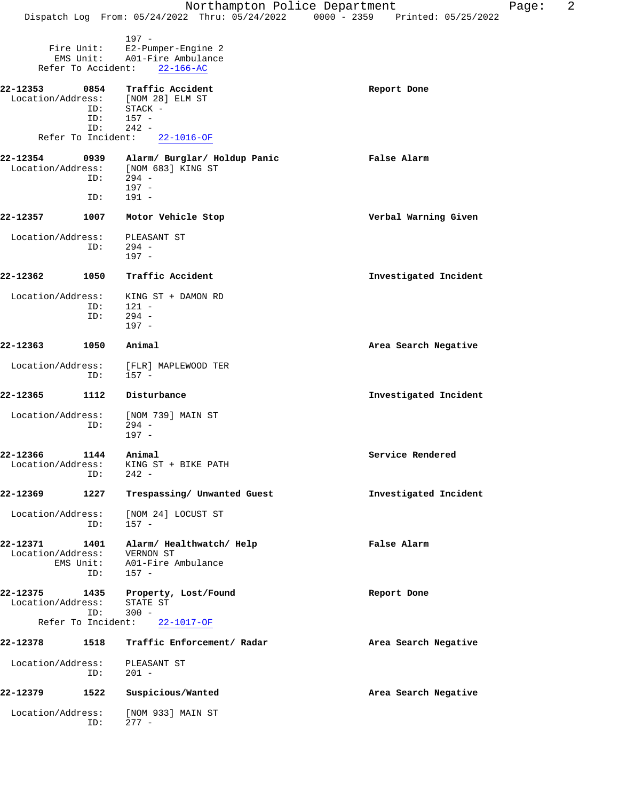|                               |                                               | Northampton Police Department                                                      | 2<br>Page:<br>Dispatch Log From: 05/24/2022 Thru: 05/24/2022 0000 - 2359 Printed: 05/25/2022 |
|-------------------------------|-----------------------------------------------|------------------------------------------------------------------------------------|----------------------------------------------------------------------------------------------|
|                               | Fire Unit:<br>EMS Unit:<br>Refer To Accident: | $197 -$<br>E2-Pumper-Engine 2<br>A01-Fire Ambulance<br>$22 - 166 - AC$             |                                                                                              |
| 22-12353<br>Location/Address: | 0854<br>ID:<br>ID:                            | Traffic Accident<br>[NOM 28] ELM ST<br>STACK -<br>$157 -$                          | Report Done                                                                                  |
|                               | ID:<br>Refer To Incident:                     | $242 -$<br>$22 - 1016 - OF$                                                        |                                                                                              |
| 22-12354<br>Location/Address: | 0939<br>ID:<br>ID:                            | Alarm/ Burglar/ Holdup Panic<br>[NOM 683] KING ST<br>$294 -$<br>$197 -$<br>$191 -$ | False Alarm                                                                                  |
| 22-12357                      | 1007                                          | Motor Vehicle Stop                                                                 | Verbal Warning Given                                                                         |
| Location/Address:             | ID:                                           | PLEASANT ST<br>$294 -$<br>$197 -$                                                  |                                                                                              |
| 22-12362                      | 1050                                          | Traffic Accident                                                                   | Investigated Incident                                                                        |
| Location/Address:             | ID:<br>ID:                                    | KING ST + DAMON RD<br>121 -<br>$294 -$<br>$197 -$                                  |                                                                                              |
| 22-12363                      | 1050                                          | Animal                                                                             | Area Search Negative                                                                         |
| Location/Address:             | ID:                                           | [FLR] MAPLEWOOD TER<br>157 -                                                       |                                                                                              |
| 22-12365                      | 1112                                          | Disturbance                                                                        | Investigated Incident                                                                        |
| Location/Address:             | ID:                                           | [NOM 739] MAIN ST<br>$294 -$<br>$197 -$                                            |                                                                                              |
| 22-12366<br>Location/Address: | 1144 Animal<br>ID:                            | KING ST + BIKE PATH<br>$242 -$                                                     | Service Rendered                                                                             |
| 22-12369                      | 1227                                          | Trespassing/ Unwanted Guest                                                        | Investigated Incident                                                                        |
| Location/Address:             | ID:                                           | [NOM 24] LOCUST ST<br>$157 -$                                                      |                                                                                              |
| 22-12371<br>Location/Address: | 1401<br>EMS Unit:<br>ID:                      | Alarm/ Healthwatch/ Help<br>VERNON ST<br>A01-Fire Ambulance<br>$157 -$             | False Alarm                                                                                  |
| 22-12375<br>Location/Address: | ID:<br>Refer To Incident:                     | 1435 Property, Lost/Found<br>STATE ST<br>$300 -$<br>22-1017-OF                     | Report Done                                                                                  |
| 22-12378                      | 1518                                          | Traffic Enforcement/ Radar                                                         | Area Search Negative                                                                         |
| Location/Address:             | ID:                                           | PLEASANT ST<br>$201 -$                                                             |                                                                                              |
| 22-12379                      | 1522                                          | Suspicious/Wanted                                                                  | Area Search Negative                                                                         |
| Location/Address:             | ID:                                           | [NOM 933] MAIN ST<br>$277 -$                                                       |                                                                                              |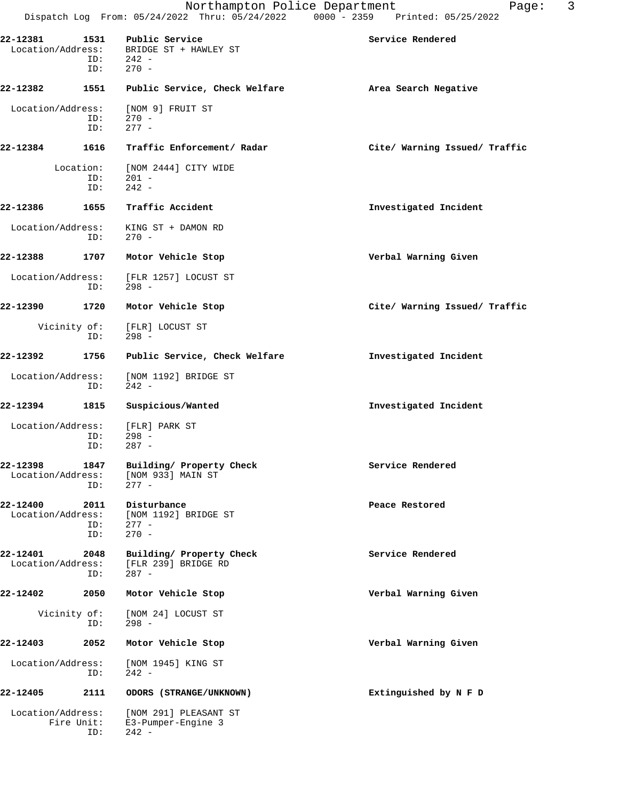| 22-12381<br>Location/Address: | 1531<br>ID:             | Public Service<br>BRIDGE ST + HAWLEY ST<br>$ID: 242 -$<br>$270 -$ | Service Rendered              |
|-------------------------------|-------------------------|-------------------------------------------------------------------|-------------------------------|
| 22-12382                      | 1551                    | Public Service, Check Welfare                                     | Area Search Negative          |
| Location/Address:             | ID:<br>ID:              | [NOM 9] FRUIT ST<br>$270 -$<br>$277 -$                            |                               |
| 22-12384                      | 1616                    | Traffic Enforcement/ Radar                                        | Cite/ Warning Issued/ Traffic |
|                               | Location:<br>ID:<br>ID: | [NOM 2444] CITY WIDE<br>$201 -$<br>$242 -$                        |                               |
| 22-12386                      | 1655                    | Traffic Accident                                                  | Investigated Incident         |
| Location/Address:             | ID:                     | KING ST + DAMON RD<br>$270 -$                                     |                               |
| 22-12388                      | 1707                    | Motor Vehicle Stop                                                | Verbal Warning Given          |
| Location/Address:             | ID:                     | [FLR 1257] LOCUST ST<br>$298 -$                                   |                               |
| 22-12390                      | 1720                    | Motor Vehicle Stop                                                | Cite/ Warning Issued/ Traffic |
|                               | Vicinity of:<br>ID:     | [FLR] LOCUST ST<br>$298 -$                                        |                               |
| 22-12392                      | 1756                    | Public Service, Check Welfare                                     | Investigated Incident         |
| Location/Address:             | ID:                     | [NOM 1192] BRIDGE ST<br>$242 -$                                   |                               |
| 22-12394                      | 1815                    | Suspicious/Wanted                                                 | Investigated Incident         |
| Location/Address:             | ID:<br>ID:              | [FLR] PARK ST<br>$298 -$<br>$287 -$                               |                               |
| 22-12398<br>Location/Address: | 1847<br>ID:             | Building/ Property Check<br>[NOM 933] MAIN ST<br>$277 -$          | Service Rendered              |
| 22-12400<br>Location/Address: | 2011<br>ID:<br>ID:      | Disturbance<br>[NOM 1192] BRIDGE ST<br>$277 -$<br>$270 -$         | Peace Restored                |
| 22-12401<br>Location/Address: | 2048<br>ID:             | Building/ Property Check<br>[FLR 239] BRIDGE RD<br>$287 -$        | Service Rendered              |
| 22-12402                      | 2050                    | Motor Vehicle Stop                                                | Verbal Warning Given          |
| Vicinity of:                  | ID:                     | [NOM 24] LOCUST ST<br>$298 -$                                     |                               |
| 22-12403                      | 2052                    | Motor Vehicle Stop                                                | Verbal Warning Given          |
| Location/Address:             | ID:                     | [NOM 1945] KING ST<br>$242 -$                                     |                               |
| 22-12405                      | 2111                    | ODORS (STRANGE/UNKNOWN)                                           | Extinguished by N F D         |
| Location/Address:             | Fire Unit:<br>ID:       | [NOM 291] PLEASANT ST<br>E3-Pumper-Engine 3<br>$242 -$            |                               |